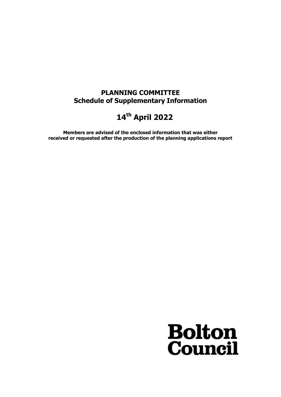## **PLANNING COMMITTEE Schedule of Supplementary Information**

## **14th April 2022**

**Members are advised of the enclosed information that was either received or requested after the production of the planning applications report**